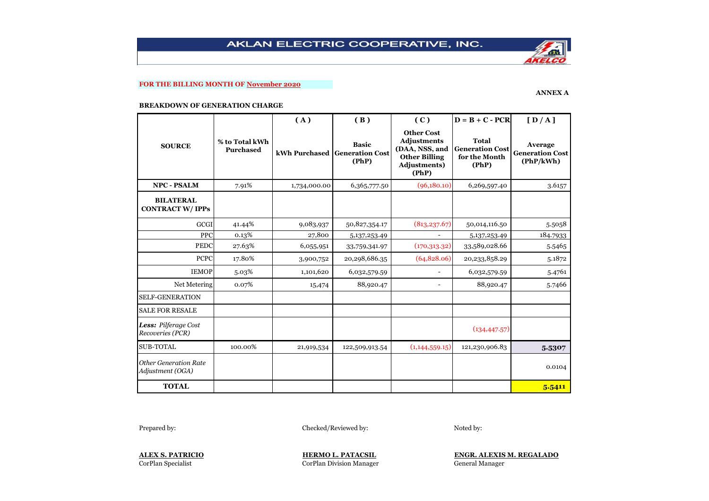## **FOR THE BILLING MONTH OF November 2020**

### **ANNEX A**

#### **BREAKDOWN OF GENERATION CHARGE**

|                                                  |                                    | (A)          | (B)                                                    | (C)                                                                                                        | $D = B + C - PCR$                                                | [D/A]                                          |
|--------------------------------------------------|------------------------------------|--------------|--------------------------------------------------------|------------------------------------------------------------------------------------------------------------|------------------------------------------------------------------|------------------------------------------------|
| <b>SOURCE</b>                                    | % to Total kWh<br><b>Purchased</b> |              | <b>Basic</b><br>kWh Purchased Generation Cost<br>(PhP) | <b>Other Cost</b><br><b>Adjustments</b><br>(DAA, NSS, and<br><b>Other Billing</b><br>Adjustments)<br>(PhP) | <b>Total</b><br><b>Generation Cost</b><br>for the Month<br>(PhP) | Average<br><b>Generation Cost</b><br>(PhP/kWh) |
| <b>NPC - PSALM</b>                               | 7.91%                              | 1,734,000.00 | 6,365,777.50                                           | (96,180.10)                                                                                                | 6,269,597.40                                                     | 3.6157                                         |
| <b>BILATERAL</b><br><b>CONTRACT W/IPPs</b>       |                                    |              |                                                        |                                                                                                            |                                                                  |                                                |
| <b>GCGI</b>                                      | 41.44%                             | 9,083,937    | 50,827,354.17                                          | (813, 237.67)                                                                                              | 50,014,116.50                                                    | 5.5058                                         |
| <b>PPC</b>                                       | 0.13%                              | 27,800       | 5,137,253.49                                           | $\overline{\phantom{a}}$                                                                                   | 5,137,253.49                                                     | 184.7933                                       |
| <b>PEDC</b>                                      | 27.63%                             | 6,055,951    | 33,759,341.97                                          | (170, 313.32)                                                                                              | 33,589,028.66                                                    | 5.5465                                         |
| <b>PCPC</b>                                      | 17.80%                             | 3,900,752    | 20,298,686.35                                          | (64, 828.06)                                                                                               | 20,233,858.29                                                    | 5.1872                                         |
| <b>IEMOP</b>                                     | 5.03%                              | 1,101,620    | 6,032,579.59                                           |                                                                                                            | 6,032,579.59                                                     | 5.4761                                         |
| Net Metering                                     | 0.07%                              | 15,474       | 88,920.47                                              | $\overline{\phantom{a}}$                                                                                   | 88,920.47                                                        | 5.7466                                         |
| <b>SELF-GENERATION</b>                           |                                    |              |                                                        |                                                                                                            |                                                                  |                                                |
| <b>SALE FOR RESALE</b>                           |                                    |              |                                                        |                                                                                                            |                                                                  |                                                |
| Less: Pilferage Cost<br>Recoveries (PCR)         |                                    |              |                                                        |                                                                                                            | (134, 447.57)                                                    |                                                |
| <b>SUB-TOTAL</b>                                 | 100.00%                            | 21,919,534   | 122,509,913.54                                         | (1, 144, 559.15)                                                                                           | 121,230,906.83                                                   | 5.5307                                         |
| <b>Other Generation Rate</b><br>Adjustment (OGA) |                                    |              |                                                        |                                                                                                            |                                                                  | 0.0104                                         |
| <b>TOTAL</b>                                     |                                    |              |                                                        |                                                                                                            |                                                                  | 5.5411                                         |

Prepared by: Checked/Reviewed by: Checked/Reviewed by: Noted by:

CorPlan Division Manager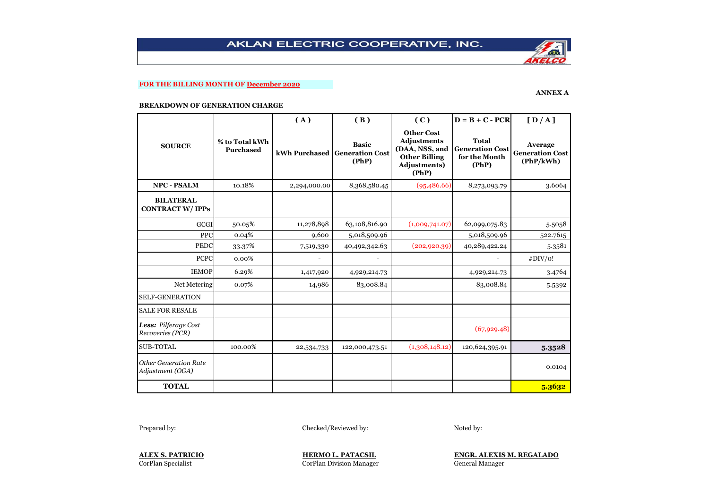## **FOR THE BILLING MONTH OF December 2020**

### **ANNEX A**

#### **BREAKDOWN OF GENERATION CHARGE**

|                                                  |                             | (A)           | (B)                                             | (C)                                                                                                 | $D = B + C - PCR$                                                | [D/A]                                          |
|--------------------------------------------------|-----------------------------|---------------|-------------------------------------------------|-----------------------------------------------------------------------------------------------------|------------------------------------------------------------------|------------------------------------------------|
| <b>SOURCE</b>                                    | % to Total kWh<br>Purchased | kWh Purchased | <b>Basic</b><br><b>Generation Cost</b><br>(PhP) | <b>Other Cost</b><br>Adjustments<br>(DAA, NSS, and<br><b>Other Billing</b><br>Adjustments)<br>(PhP) | <b>Total</b><br><b>Generation Cost</b><br>for the Month<br>(PhP) | Average<br><b>Generation Cost</b><br>(PhP/kWh) |
| <b>NPC - PSALM</b>                               | 10.18%                      | 2,294,000.00  | 8,368,580.45                                    | (95,486.66)                                                                                         | 8,273,093.79                                                     | 3.6064                                         |
| <b>BILATERAL</b><br><b>CONTRACT W/IPPs</b>       |                             |               |                                                 |                                                                                                     |                                                                  |                                                |
| GCGI                                             | 50.05%                      | 11,278,898    | 63,108,816.90                                   | (1,009,741.07)                                                                                      | 62,099,075.83                                                    | 5.5058                                         |
| PPC                                              | 0.04%                       | 9,600         | 5,018,509.96                                    |                                                                                                     | 5,018,509.96                                                     | 522.7615                                       |
| <b>PEDC</b>                                      | 33.37%                      | 7,519,330     | 40,492,342.63                                   | (202, 920.39)                                                                                       | 40,289,422.24                                                    | 5.3581                                         |
| <b>PCPC</b>                                      | 0.00%                       |               |                                                 |                                                                                                     |                                                                  | #DIV/o!                                        |
| <b>IEMOP</b>                                     | 6.29%                       | 1,417,920     | 4,929,214.73                                    |                                                                                                     | 4,929,214.73                                                     | 3.4764                                         |
| Net Metering                                     | 0.07%                       | 14,986        | 83,008.84                                       |                                                                                                     | 83,008.84                                                        | 5.5392                                         |
| <b>SELF-GENERATION</b>                           |                             |               |                                                 |                                                                                                     |                                                                  |                                                |
| <b>SALE FOR RESALE</b>                           |                             |               |                                                 |                                                                                                     |                                                                  |                                                |
| Less: Pilferage Cost<br>Recoveries (PCR)         |                             |               |                                                 |                                                                                                     | (67, 929.48)                                                     |                                                |
| <b>SUB-TOTAL</b>                                 | 100.00%                     | 22,534,733    | 122,000,473.51                                  | (1,308,148.12)                                                                                      | 120,624,395.91                                                   | 5.3528                                         |
| <b>Other Generation Rate</b><br>Adjustment (OGA) |                             |               |                                                 |                                                                                                     |                                                                  | 0.0104                                         |
| <b>TOTAL</b>                                     |                             |               |                                                 |                                                                                                     |                                                                  | 5.3632                                         |

Prepared by: Checked/Reviewed by: Checked/Reviewed by: Noted by:

CorPlan Division Manager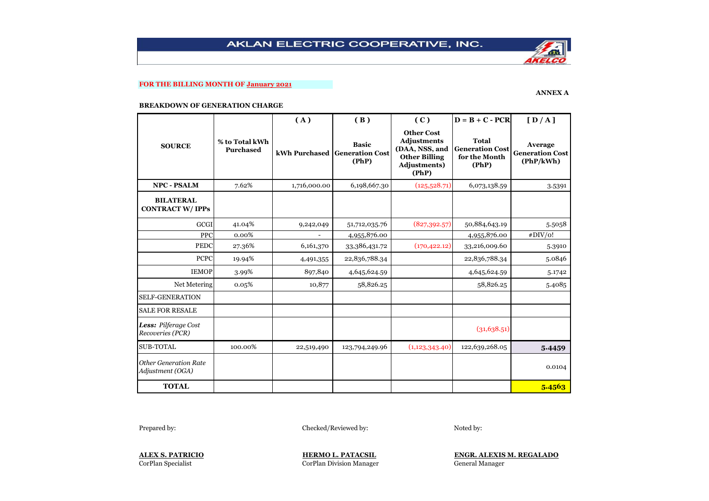## **FOR THE BILLING MONTH OF January 2021**

### **ANNEX A**

#### **BREAKDOWN OF GENERATION CHARGE**

|                                                  |                                    | (A)                      | (B)                                                    | (C)                                                                                                        | $D = B + C - PCR$                                                | [D/A]                                          |
|--------------------------------------------------|------------------------------------|--------------------------|--------------------------------------------------------|------------------------------------------------------------------------------------------------------------|------------------------------------------------------------------|------------------------------------------------|
| <b>SOURCE</b>                                    | % to Total kWh<br><b>Purchased</b> |                          | <b>Basic</b><br>kWh Purchased Generation Cost<br>(PhP) | <b>Other Cost</b><br><b>Adjustments</b><br>(DAA, NSS, and<br><b>Other Billing</b><br>Adjustments)<br>(PhP) | <b>Total</b><br><b>Generation Cost</b><br>for the Month<br>(PhP) | Average<br><b>Generation Cost</b><br>(PhP/kWh) |
| <b>NPC - PSALM</b>                               | 7.62%                              | 1,716,000.00             | 6,198,667.30                                           | (125,528.71)                                                                                               | 6,073,138.59                                                     | 3.5391                                         |
| <b>BILATERAL</b><br><b>CONTRACT W/IPPs</b>       |                                    |                          |                                                        |                                                                                                            |                                                                  |                                                |
| <b>GCGI</b>                                      | 41.04%                             | 9,242,049                | 51,712,035.76                                          | (827, 392.57)                                                                                              | 50,884,643.19                                                    | 5.5058                                         |
| <b>PPC</b>                                       | 0.00%                              | $\overline{\phantom{a}}$ | 4,955,876.00                                           |                                                                                                            | 4,955,876.00                                                     | #DIV/o!                                        |
| <b>PEDC</b>                                      | 27.36%                             | 6,161,370                | 33,386,431.72                                          | (170, 422.12)                                                                                              | 33,216,009.60                                                    | 5.3910                                         |
| <b>PCPC</b>                                      | 19.94%                             | 4,491,355                | 22,836,788.34                                          |                                                                                                            | 22,836,788.34                                                    | 5.0846                                         |
| <b>IEMOP</b>                                     | 3.99%                              | 897,840                  | 4,645,624.59                                           |                                                                                                            | 4,645,624.59                                                     | 5.1742                                         |
| Net Metering                                     | 0.05%                              | 10,877                   | 58,826.25                                              |                                                                                                            | 58,826.25                                                        | 5.4085                                         |
| <b>SELF-GENERATION</b>                           |                                    |                          |                                                        |                                                                                                            |                                                                  |                                                |
| <b>SALE FOR RESALE</b>                           |                                    |                          |                                                        |                                                                                                            |                                                                  |                                                |
| Less: Pilferage Cost<br>Recoveries (PCR)         |                                    |                          |                                                        |                                                                                                            | (31, 638.51)                                                     |                                                |
| <b>SUB-TOTAL</b>                                 | 100.00%                            | 22,519,490               | 123,794,249.96                                         | (1,123,343.40)                                                                                             | 122,639,268.05                                                   | 5.4459                                         |
| <b>Other Generation Rate</b><br>Adjustment (OGA) |                                    |                          |                                                        |                                                                                                            |                                                                  | 0.0104                                         |
| <b>TOTAL</b>                                     |                                    |                          |                                                        |                                                                                                            |                                                                  | 5.4563                                         |

Prepared by: Checked/Reviewed by: Noted by:

CorPlan Division Manager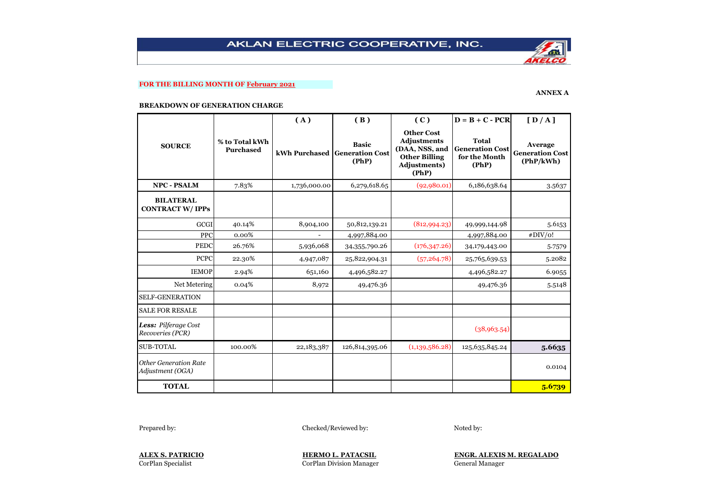## **FOR THE BILLING MONTH OF February 2021**

### **ANNEX A**

#### **BREAKDOWN OF GENERATION CHARGE**

|                                                  |                                    | (A)            | (B)                                                    | (C)                                                                                                        | $D = B + C - PCR$                                                | [D/A]                                          |
|--------------------------------------------------|------------------------------------|----------------|--------------------------------------------------------|------------------------------------------------------------------------------------------------------------|------------------------------------------------------------------|------------------------------------------------|
| <b>SOURCE</b>                                    | % to Total kWh<br><b>Purchased</b> |                | <b>Basic</b><br>kWh Purchased Generation Cost<br>(PhP) | <b>Other Cost</b><br><b>Adjustments</b><br>(DAA, NSS, and<br><b>Other Billing</b><br>Adjustments)<br>(PhP) | <b>Total</b><br><b>Generation Cost</b><br>for the Month<br>(PhP) | Average<br><b>Generation Cost</b><br>(PhP/kWh) |
| <b>NPC - PSALM</b>                               | 7.83%                              | 1,736,000.00   | 6,279,618.65                                           | (92, 980.01)                                                                                               | 6,186,638.64                                                     | 3.5637                                         |
| <b>BILATERAL</b><br><b>CONTRACT W/IPPs</b>       |                                    |                |                                                        |                                                                                                            |                                                                  |                                                |
| GCGI                                             | 40.14%                             | 8,904,100      | 50,812,139.21                                          | (812,994.23)                                                                                               | 49,999,144.98                                                    | 5.6153                                         |
| PPC                                              | 0.00%                              | $\overline{a}$ | 4,997,884.00                                           |                                                                                                            | 4,997,884.00                                                     | #DIV/o!                                        |
| <b>PEDC</b>                                      | 26.76%                             | 5,936,068      | 34,355,790.26                                          | (176, 347.26)                                                                                              | 34,179,443.00                                                    | 5.7579                                         |
| <b>PCPC</b>                                      | 22.30%                             | 4,947,087      | 25,822,904.31                                          | (57, 264.78)                                                                                               | 25,765,639.53                                                    | 5.2082                                         |
| <b>IEMOP</b>                                     | 2.94%                              | 651,160        | 4,496,582.27                                           |                                                                                                            | 4,496,582.27                                                     | 6.9055                                         |
| Net Metering                                     | 0.04%                              | 8,972          | 49,476.36                                              |                                                                                                            | 49,476.36                                                        | 5.5148                                         |
| <b>SELF-GENERATION</b>                           |                                    |                |                                                        |                                                                                                            |                                                                  |                                                |
| <b>SALE FOR RESALE</b>                           |                                    |                |                                                        |                                                                                                            |                                                                  |                                                |
| Less: Pilferage Cost<br>Recoveries (PCR)         |                                    |                |                                                        |                                                                                                            | (38,963.54)                                                      |                                                |
| <b>SUB-TOTAL</b>                                 | 100.00%                            | 22,183,387     | 126,814,395.06                                         | (1,139,586.28)                                                                                             | 125,635,845.24                                                   | 5.6635                                         |
| <b>Other Generation Rate</b><br>Adjustment (OGA) |                                    |                |                                                        |                                                                                                            |                                                                  | 0.0104                                         |
| <b>TOTAL</b>                                     |                                    |                |                                                        |                                                                                                            |                                                                  | 5.6739                                         |

Prepared by: Checked/Reviewed by: Checked/Reviewed by: Noted by:

CorPlan Division Manager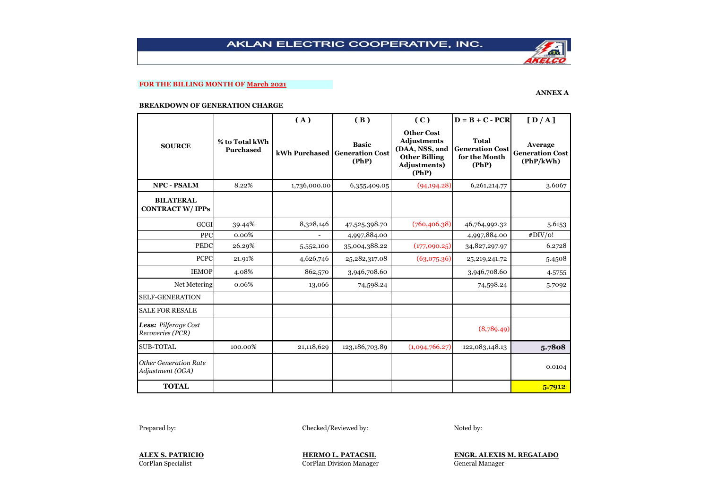# **FOR THE BILLING MONTH OF March 2021**

### **ANNEX A**

#### **BREAKDOWN OF GENERATION CHARGE**

|                                                  |                                    | (A)           | (B)                                             | (C)                                                                                                        | $D = B + C - PCR$                                         | [D/A]                                          |
|--------------------------------------------------|------------------------------------|---------------|-------------------------------------------------|------------------------------------------------------------------------------------------------------------|-----------------------------------------------------------|------------------------------------------------|
| <b>SOURCE</b>                                    | % to Total kWh<br><b>Purchased</b> | kWh Purchased | <b>Basic</b><br><b>Generation Cost</b><br>(PhP) | <b>Other Cost</b><br><b>Adjustments</b><br>(DAA, NSS, and<br><b>Other Billing</b><br>Adjustments)<br>(PhP) | Total<br><b>Generation Cost</b><br>for the Month<br>(PhP) | Average<br><b>Generation Cost</b><br>(PhP/kWh) |
| <b>NPC - PSALM</b>                               | 8.22%                              | 1,736,000.00  | 6,355,409.05                                    | (94, 194.28)                                                                                               | 6,261,214.77                                              | 3.6067                                         |
| <b>BILATERAL</b><br><b>CONTRACT W/IPPs</b>       |                                    |               |                                                 |                                                                                                            |                                                           |                                                |
| <b>GCGI</b>                                      | 39.44%                             | 8,328,146     | 47,525,398.70                                   | (760, 406.38)                                                                                              | 46,764,992.32                                             | 5.6153                                         |
| <b>PPC</b>                                       | 0.00%                              |               | 4,997,884.00                                    |                                                                                                            | 4,997,884.00                                              | #DIV/o!                                        |
| <b>PEDC</b>                                      | 26.29%                             | 5,552,100     | 35,004,388.22                                   | (177,090.25)                                                                                               | 34,827,297.97                                             | 6.2728                                         |
| <b>PCPC</b>                                      | 21.91%                             | 4,626,746     | 25,282,317.08                                   | (63,075.36)                                                                                                | 25,219,241.72                                             | 5.4508                                         |
| <b>IEMOP</b>                                     | 4.08%                              | 862,570       | 3,946,708.60                                    |                                                                                                            | 3,946,708.60                                              | 4.5755                                         |
| Net Metering                                     | 0.06%                              | 13,066        | 74,598.24                                       |                                                                                                            | 74,598.24                                                 | 5.7092                                         |
| <b>SELF-GENERATION</b>                           |                                    |               |                                                 |                                                                                                            |                                                           |                                                |
| <b>SALE FOR RESALE</b>                           |                                    |               |                                                 |                                                                                                            |                                                           |                                                |
| Less: Pilferage Cost<br>Recoveries (PCR)         |                                    |               |                                                 |                                                                                                            | (8,789.49)                                                |                                                |
| <b>SUB-TOTAL</b>                                 | 100.00%                            | 21,118,629    | 123,186,703.89                                  | (1,094,766.27)                                                                                             | 122,083,148.13                                            | 5.7808                                         |
| <b>Other Generation Rate</b><br>Adjustment (OGA) |                                    |               |                                                 |                                                                                                            |                                                           | 0.0104                                         |
| <b>TOTAL</b>                                     |                                    |               |                                                 |                                                                                                            |                                                           | 5.7912                                         |

Prepared by: Checked/Reviewed by: Noted by:

CorPlan Division Manager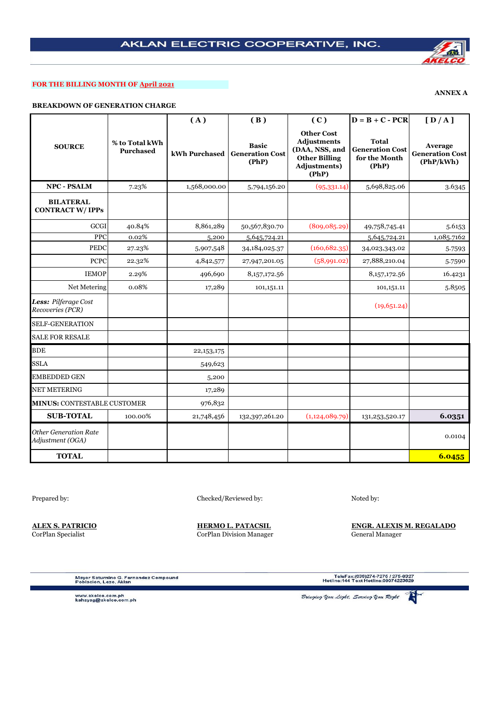## **FOR THE BILLING MONTH OF April 2021**

# **BREAKDOWN OF GENERATION CHARGE**

|                                                  |                                    | (A)          | (B)                                                    | (C)                                                                                                        | $D = B + C - PCR$                                                | [D/A]                                          |
|--------------------------------------------------|------------------------------------|--------------|--------------------------------------------------------|------------------------------------------------------------------------------------------------------------|------------------------------------------------------------------|------------------------------------------------|
| <b>SOURCE</b>                                    | % to Total kWh<br><b>Purchased</b> |              | <b>Basic</b><br>kWh Purchased Generation Cost<br>(PhP) | <b>Other Cost</b><br><b>Adjustments</b><br>(DAA, NSS, and<br><b>Other Billing</b><br>Adjustments)<br>(PhP) | <b>Total</b><br><b>Generation Cost</b><br>for the Month<br>(PhP) | Average<br><b>Generation Cost</b><br>(PhP/kWh) |
| <b>NPC - PSALM</b>                               | 7.23%                              | 1,568,000.00 | 5,794,156.20                                           | (95, 331.14)                                                                                               | 5,698,825.06                                                     | 3.6345                                         |
| <b>BILATERAL</b><br><b>CONTRACT W/IPPs</b>       |                                    |              |                                                        |                                                                                                            |                                                                  |                                                |
| <b>GCGI</b>                                      | 40.84%                             | 8,861,289    | 50,567,830.70                                          | (809, 085.29)                                                                                              | 49,758,745.41                                                    | 5.6153                                         |
| PPC                                              | 0.02%                              | 5,200        | 5,645,724.21                                           |                                                                                                            | 5,645,724.21                                                     | 1,085.7162                                     |
| <b>PEDC</b>                                      | 27.23%                             | 5,907,548    | 34, 184, 025. 37                                       | (160, 682, 35)                                                                                             | 34,023,343.02                                                    | 5.7593                                         |
| <b>PCPC</b>                                      | 22.32%                             | 4,842,577    | 27,947,201.05                                          | (58,991.02)                                                                                                | 27,888,210.04                                                    | 5.7590                                         |
| <b>IEMOP</b>                                     | 2.29%                              | 496,690      | 8, 157, 172.56                                         |                                                                                                            | 8,157,172.56                                                     | 16.4231                                        |
| Net Metering                                     | 0.08%                              | 17,289       | 101,151.11                                             |                                                                                                            | 101,151.11                                                       | 5.8505                                         |
| Less: Pilferage Cost<br>Recoveries (PCR)         |                                    |              |                                                        |                                                                                                            | (19,651.24)                                                      |                                                |
| <b>SELF-GENERATION</b>                           |                                    |              |                                                        |                                                                                                            |                                                                  |                                                |
| <b>SALE FOR RESALE</b>                           |                                    |              |                                                        |                                                                                                            |                                                                  |                                                |
| <b>BDE</b>                                       |                                    | 22, 153, 175 |                                                        |                                                                                                            |                                                                  |                                                |
| <b>SSLA</b>                                      |                                    | 549,623      |                                                        |                                                                                                            |                                                                  |                                                |
| <b>EMBEDDED GEN</b>                              |                                    | 5,200        |                                                        |                                                                                                            |                                                                  |                                                |
| NET METERING                                     |                                    | 17,289       |                                                        |                                                                                                            |                                                                  |                                                |
| <b>MINUS: CONTESTABLE CUSTOMER</b>               |                                    | 976,832      |                                                        |                                                                                                            |                                                                  |                                                |
| <b>SUB-TOTAL</b>                                 | 100.00%                            | 21,748,456   | 132,397,261.20                                         | (1,124,089.79)                                                                                             | 131, 253, 520. 17                                                | 6.0351                                         |
| <b>Other Generation Rate</b><br>Adjustment (OGA) |                                    |              |                                                        |                                                                                                            |                                                                  | 0.0104                                         |
| <b>TOTAL</b>                                     |                                    |              |                                                        |                                                                                                            |                                                                  | 6.0455                                         |

Prepared by: Checked/Reviewed by: Noted by: Noted by:

**ALEX S. PATRICIO HERMO L. PATACSIL ENGR. ALEXIS M. REGALADO** CorPlan Specialist CorPlan Division Manager General Manager

Mayor Saturnino G. Fernandez Compound<br>Poblacion, Lezo, Aklan

TeleFax:(036)274-7275 / 275-8327<br>Hotline:144 Text Hotline:09074223629

www.akelco.com.ph<br>kahayag@akelco.com.ph

香 Bringing You Light, Serving You Right



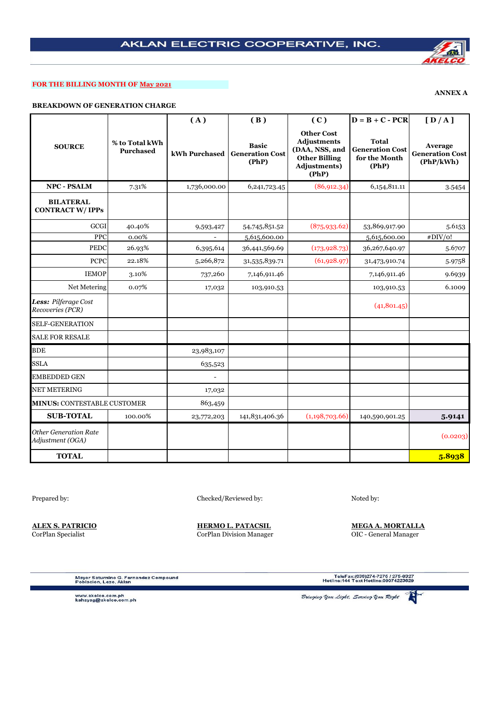## **FOR THE BILLING MONTH OF May 2021**

**BREAKDOWN OF GENERATION CHARGE**

|                                                  |                                    | (A)                      | (B)                                             | (C)                                                                                                        | $D = B + C - PCR$                                                | [D/A]                                          |
|--------------------------------------------------|------------------------------------|--------------------------|-------------------------------------------------|------------------------------------------------------------------------------------------------------------|------------------------------------------------------------------|------------------------------------------------|
| <b>SOURCE</b>                                    | % to Total kWh<br><b>Purchased</b> | kWh Purchased            | <b>Basic</b><br><b>Generation Cost</b><br>(PhP) | <b>Other Cost</b><br><b>Adjustments</b><br>(DAA, NSS, and<br><b>Other Billing</b><br>Adjustments)<br>(PhP) | <b>Total</b><br><b>Generation Cost</b><br>for the Month<br>(PhP) | Average<br><b>Generation Cost</b><br>(PhP/kWh) |
| NPC - PSALM                                      | 7.31%                              | 1,736,000.00             | 6,241,723.45                                    | (86, 912.34)                                                                                               | 6, 154, 811.11                                                   | 3.5454                                         |
| <b>BILATERAL</b><br><b>CONTRACT W/IPPs</b>       |                                    |                          |                                                 |                                                                                                            |                                                                  |                                                |
| GCGI                                             | 40.40%                             | 9,593,427                | 54,745,851.52                                   | (875, 933.62)                                                                                              | 53,869,917.90                                                    | 5.6153                                         |
| PPC                                              | 0.00%                              | $\overline{\phantom{a}}$ | 5,615,600.00                                    |                                                                                                            | 5,615,600.00                                                     | #DIV/o!                                        |
| PEDC                                             | 26.93%                             | 6,395,614                | 36,441,569.69                                   | (173, 928.73)                                                                                              | 36,267,640.97                                                    | 5.6707                                         |
| <b>PCPC</b>                                      | 22.18%                             | 5,266,872                | 31,535,839.71                                   | (61, 928.97)                                                                                               | 31,473,910.74                                                    | 5.9758                                         |
| <b>IEMOP</b>                                     | 3.10%                              | 737,260                  | 7,146,911.46                                    |                                                                                                            | 7,146,911.46                                                     | 9.6939                                         |
| Net Metering                                     | 0.07%                              | 17,032                   | 103,910.53                                      |                                                                                                            | 103,910.53                                                       | 6.1009                                         |
| Less: Pilferage Cost<br>Recoveries (PCR)         |                                    |                          |                                                 |                                                                                                            | (41, 801.45)                                                     |                                                |
| <b>SELF-GENERATION</b>                           |                                    |                          |                                                 |                                                                                                            |                                                                  |                                                |
| <b>SALE FOR RESALE</b>                           |                                    |                          |                                                 |                                                                                                            |                                                                  |                                                |
| <b>BDE</b>                                       |                                    | 23,983,107               |                                                 |                                                                                                            |                                                                  |                                                |
| <b>SSLA</b>                                      |                                    | 635,523                  |                                                 |                                                                                                            |                                                                  |                                                |
| <b>EMBEDDED GEN</b>                              |                                    | $\overline{a}$           |                                                 |                                                                                                            |                                                                  |                                                |
| <b>NET METERING</b>                              |                                    | 17,032                   |                                                 |                                                                                                            |                                                                  |                                                |
| <b>MINUS: CONTESTABLE CUSTOMER</b>               |                                    | 863,459                  |                                                 |                                                                                                            |                                                                  |                                                |
| <b>SUB-TOTAL</b>                                 | 100.00%                            | 23,772,203               | 141,831,406.36                                  | (1,198,703.66)                                                                                             | 140,590,901.25                                                   | 5.9141                                         |
| <b>Other Generation Rate</b><br>Adjustment (OGA) |                                    |                          |                                                 |                                                                                                            |                                                                  | (0.0203)                                       |
| <b>TOTAL</b>                                     |                                    |                          |                                                 |                                                                                                            |                                                                  | 5.8938                                         |

Prepared by: Checked/Reviewed by: Noted by: Noted by:

**ALEX S. PATRICIO HERMO L. PATACSIL MEGA A. MORTALLA** CorPlan Specialist CorPlan Division Manager OIC - General Manager

 $\hat{\mathbf{r}}$ 

Mayor Saturnino G. Fernandez Compound<br>Poblacion, Lezo, Aklan

TeleFax:(036)274-7275 / 275-8327<br>Hotline:144 Text Hotline:09074223629

www.akelco.com.ph<br>kahayag@akelco.com.ph

Bringing Upu Light, Serving Upu Right

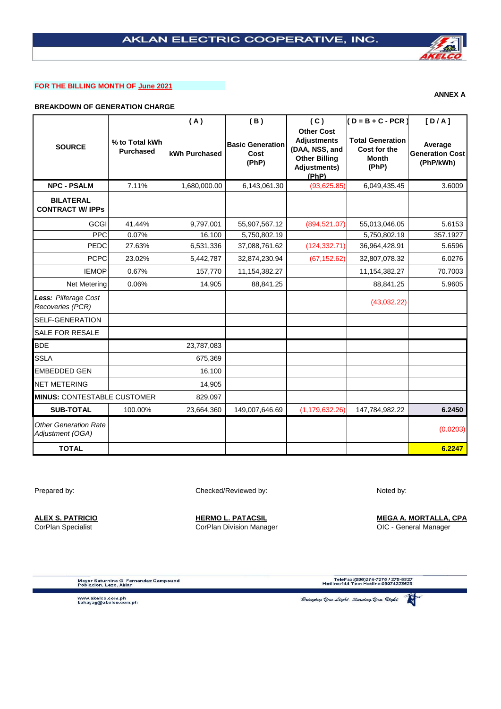# **FOR THE BILLING MONTH OF June 2021**

# **BREAKDOWN OF GENERATION CHARGE**

|                                                  |                                    | (A)           | (B)                                      | (C)                                                                                                               | $(D = B + C - PCR)$                                              | [D/A]                                          |
|--------------------------------------------------|------------------------------------|---------------|------------------------------------------|-------------------------------------------------------------------------------------------------------------------|------------------------------------------------------------------|------------------------------------------------|
| <b>SOURCE</b>                                    | % to Total kWh<br><b>Purchased</b> | kWh Purchased | <b>Basic Generation</b><br>Cost<br>(PhP) | <b>Other Cost</b><br><b>Adjustments</b><br>(DAA, NSS, and<br><b>Other Billing</b><br><b>Adjustments)</b><br>(PhP) | <b>Total Generation</b><br>Cost for the<br><b>Month</b><br>(PhP) | Average<br><b>Generation Cost</b><br>(PhP/kWh) |
| <b>NPC - PSALM</b>                               | 7.11%                              | 1,680,000.00  | 6,143,061.30                             | (93,625.85)                                                                                                       | 6,049,435.45                                                     | 3.6009                                         |
| <b>BILATERAL</b><br><b>CONTRACT W/ IPPs</b>      |                                    |               |                                          |                                                                                                                   |                                                                  |                                                |
| GCGI                                             | 41.44%                             | 9,797,001     | 55,907,567.12                            | (894, 521.07)                                                                                                     | 55,013,046.05                                                    | 5.6153                                         |
| <b>PPC</b>                                       | 0.07%                              | 16,100        | 5,750,802.19                             |                                                                                                                   | 5,750,802.19                                                     | 357.1927                                       |
| PEDC                                             | 27.63%                             | 6,531,336     | 37,088,761.62                            | (124, 332.71)                                                                                                     | 36,964,428.91                                                    | 5.6596                                         |
| <b>PCPC</b>                                      | 23.02%                             | 5,442,787     | 32,874,230.94                            | (67, 152.62)                                                                                                      | 32,807,078.32                                                    | 6.0276                                         |
| <b>IEMOP</b>                                     | 0.67%                              | 157,770       | 11,154,382.27                            |                                                                                                                   | 11, 154, 382. 27                                                 | 70.7003                                        |
| Net Metering                                     | 0.06%                              | 14,905        | 88,841.25                                |                                                                                                                   | 88,841.25                                                        | 5.9605                                         |
| Less: Pilferage Cost<br>Recoveries (PCR)         |                                    |               |                                          |                                                                                                                   | (43,032.22)                                                      |                                                |
| <b>SELF-GENERATION</b>                           |                                    |               |                                          |                                                                                                                   |                                                                  |                                                |
| <b>SALE FOR RESALE</b>                           |                                    |               |                                          |                                                                                                                   |                                                                  |                                                |
| <b>BDE</b>                                       |                                    | 23,787,083    |                                          |                                                                                                                   |                                                                  |                                                |
| <b>SSLA</b>                                      |                                    | 675,369       |                                          |                                                                                                                   |                                                                  |                                                |
| <b>EMBEDDED GEN</b>                              |                                    | 16,100        |                                          |                                                                                                                   |                                                                  |                                                |
| <b>NET METERING</b>                              |                                    | 14,905        |                                          |                                                                                                                   |                                                                  |                                                |
| <b>MINUS: CONTESTABLE CUSTOMER</b>               |                                    | 829,097       |                                          |                                                                                                                   |                                                                  |                                                |
| <b>SUB-TOTAL</b>                                 | 100.00%                            | 23,664,360    | 149,007,646.69                           | (1, 179, 632.26)                                                                                                  | 147,784,982.22                                                   | 6.2450                                         |
| <b>Other Generation Rate</b><br>Adjustment (OGA) |                                    |               |                                          |                                                                                                                   |                                                                  | (0.0203)                                       |
| <b>TOTAL</b>                                     |                                    |               |                                          |                                                                                                                   |                                                                  | 6.2247                                         |

Prepared by: Noted by: Checked/Reviewed by: Noted by: Noted by:

**ALEX S. PATRICIO HERMO L. PATACSIL MEGA A. MORTALLA, CPA** CorPlan Specialist CorPlan Division Manager OIC - General Manager

Mayor Saturnino G. Fernandez Compound<br>Poblacion, Lezo, Aklan

TeleFax:(036)274-7275 / 275-8327<br>Hotline:144 Text Hotline:09074223629

www.akelco.com.ph<br>kahayag@akelco.com.ph

科



**ANNEX A**

.<br>Bringing You Light, Serving You Right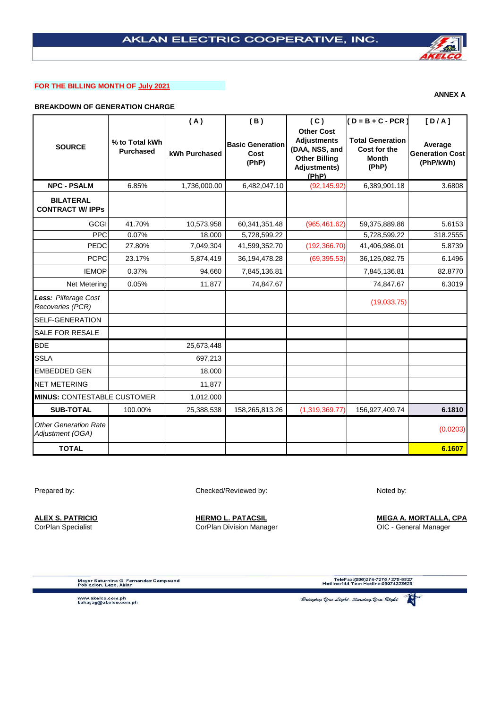# **FOR THE BILLING MONTH OF July 2021**

# **BREAKDOWN OF GENERATION CHARGE**

|                                                  |                                    | (A)           | (B)                                      | (C)                                                                                                               | $(D = B + C - PCR)$                                              | [D/A]                                   |
|--------------------------------------------------|------------------------------------|---------------|------------------------------------------|-------------------------------------------------------------------------------------------------------------------|------------------------------------------------------------------|-----------------------------------------|
| <b>SOURCE</b>                                    | % to Total kWh<br><b>Purchased</b> | kWh Purchased | <b>Basic Generation</b><br>Cost<br>(PhP) | <b>Other Cost</b><br><b>Adjustments</b><br>(DAA, NSS, and<br><b>Other Billing</b><br><b>Adjustments)</b><br>(PhP) | <b>Total Generation</b><br>Cost for the<br><b>Month</b><br>(PhP) | Average<br>Generation Cost<br>(PhP/kWh) |
| <b>NPC - PSALM</b>                               | 6.85%                              | 1,736,000.00  | 6,482,047.10                             | (92, 145.92)                                                                                                      | 6,389,901.18                                                     | 3.6808                                  |
| <b>BILATERAL</b><br><b>CONTRACT W/ IPPs</b>      |                                    |               |                                          |                                                                                                                   |                                                                  |                                         |
| GCGI                                             | 41.70%                             | 10,573,958    | 60,341,351.48                            | (965, 461.62)                                                                                                     | 59,375,889.86                                                    | 5.6153                                  |
| <b>PPC</b>                                       | 0.07%                              | 18,000        | 5,728,599.22                             |                                                                                                                   | 5,728,599.22                                                     | 318.2555                                |
| PEDC                                             | 27.80%                             | 7,049,304     | 41,599,352.70                            | (192, 366.70)                                                                                                     | 41,406,986.01                                                    | 5.8739                                  |
| <b>PCPC</b>                                      | 23.17%                             | 5,874,419     | 36, 194, 478. 28                         | (69, 395.53)                                                                                                      | 36,125,082.75                                                    | 6.1496                                  |
| <b>IEMOP</b>                                     | 0.37%                              | 94.660        | 7,845,136.81                             |                                                                                                                   | 7,845,136.81                                                     | 82.8770                                 |
| Net Metering                                     | 0.05%                              | 11,877        | 74,847.67                                |                                                                                                                   | 74,847.67                                                        | 6.3019                                  |
| Less: Pilferage Cost<br>Recoveries (PCR)         |                                    |               |                                          |                                                                                                                   | (19,033.75)                                                      |                                         |
| <b>SELF-GENERATION</b>                           |                                    |               |                                          |                                                                                                                   |                                                                  |                                         |
| <b>SALE FOR RESALE</b>                           |                                    |               |                                          |                                                                                                                   |                                                                  |                                         |
| <b>BDE</b>                                       |                                    | 25,673,448    |                                          |                                                                                                                   |                                                                  |                                         |
| <b>SSLA</b>                                      |                                    | 697,213       |                                          |                                                                                                                   |                                                                  |                                         |
| <b>EMBEDDED GEN</b>                              |                                    | 18,000        |                                          |                                                                                                                   |                                                                  |                                         |
| <b>NET METERING</b>                              |                                    | 11,877        |                                          |                                                                                                                   |                                                                  |                                         |
| <b>MINUS: CONTESTABLE CUSTOMER</b>               |                                    | 1,012,000     |                                          |                                                                                                                   |                                                                  |                                         |
| <b>SUB-TOTAL</b>                                 | 100.00%                            | 25,388,538    | 158,265,813.26                           | (1,319,369.77)                                                                                                    | 156,927,409.74                                                   | 6.1810                                  |
| <b>Other Generation Rate</b><br>Adjustment (OGA) |                                    |               |                                          |                                                                                                                   |                                                                  | (0.0203)                                |
| <b>TOTAL</b>                                     |                                    |               |                                          |                                                                                                                   |                                                                  | 6.1607                                  |

Prepared by: Noted by: Checked/Reviewed by: Noted by: Noted by:

**ALEX S. PATRICIO HERMO L. PATACSIL MEGA A. MORTALLA, CPA** CorPlan Specialist CorPlan Division Manager OIC - General Manager

Mayor Saturnino G. Fernandez Compound<br>Poblacion, Lezo, Aklan

TeleFax:(036)274-7275 / 275-8327<br>Hotline:144 Text Hotline:09074223629

www.akelco.com.ph<br>kahayag@akelco.com.ph

.<br>Bringing You Light, Serving You Right



**ANNEX A**

科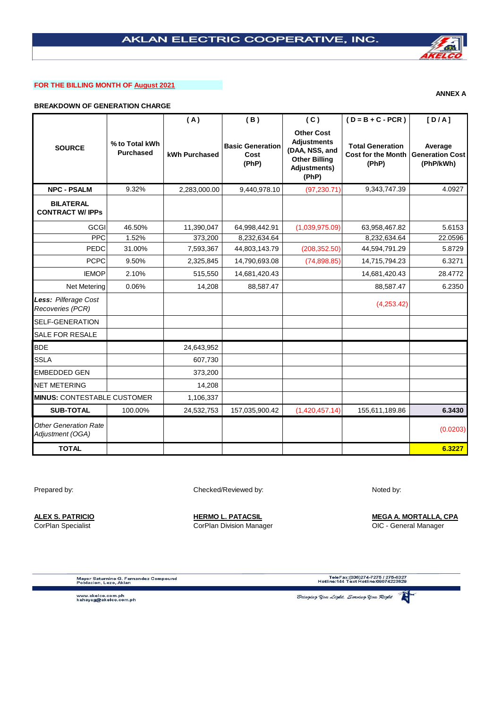# **FOR THE BILLING MONTH OF August 2021**

# **BREAKDOWN OF GENERATION CHARGE**

|                                                  |                                    | (A)           | (B)                                      | (C)                                                                                                        | $(D = B + C - PCR)$                                           | [D/A]                                          |
|--------------------------------------------------|------------------------------------|---------------|------------------------------------------|------------------------------------------------------------------------------------------------------------|---------------------------------------------------------------|------------------------------------------------|
| <b>SOURCE</b>                                    | % to Total kWh<br><b>Purchased</b> | kWh Purchased | <b>Basic Generation</b><br>Cost<br>(PhP) | <b>Other Cost</b><br><b>Adjustments</b><br>(DAA, NSS, and<br><b>Other Billing</b><br>Adjustments)<br>(PhP) | <b>Total Generation</b><br><b>Cost for the Month</b><br>(PhP) | Average<br><b>Generation Cost</b><br>(PhP/kWh) |
| <b>NPC - PSALM</b>                               | 9.32%                              | 2,283,000.00  | 9,440,978.10                             | (97, 230.71)                                                                                               | 9,343,747.39                                                  | 4.0927                                         |
| <b>BILATERAL</b><br><b>CONTRACT W/ IPPs</b>      |                                    |               |                                          |                                                                                                            |                                                               |                                                |
| <b>GCGI</b>                                      | 46.50%                             | 11,390,047    | 64,998,442.91                            | (1,039,975.09)                                                                                             | 63,958,467.82                                                 | 5.6153                                         |
| <b>PPC</b>                                       | 1.52%                              | 373,200       | 8,232,634.64                             |                                                                                                            | 8,232,634.64                                                  | 22.0596                                        |
| PEDC                                             | 31.00%                             | 7,593,367     | 44,803,143.79                            | (208, 352.50)                                                                                              | 44,594,791.29                                                 | 5.8729                                         |
| <b>PCPC</b>                                      | 9.50%                              | 2,325,845     | 14,790,693.08                            | (74,898.85)                                                                                                | 14,715,794.23                                                 | 6.3271                                         |
| <b>IEMOP</b>                                     | 2.10%                              | 515,550       | 14,681,420.43                            |                                                                                                            | 14,681,420.43                                                 | 28.4772                                        |
| Net Metering                                     | 0.06%                              | 14,208        | 88,587.47                                |                                                                                                            | 88,587.47                                                     | 6.2350                                         |
| Less: Pilferage Cost<br>Recoveries (PCR)         |                                    |               |                                          |                                                                                                            | (4,253.42)                                                    |                                                |
| <b>SELF-GENERATION</b>                           |                                    |               |                                          |                                                                                                            |                                                               |                                                |
| <b>SALE FOR RESALE</b>                           |                                    |               |                                          |                                                                                                            |                                                               |                                                |
| <b>BDE</b>                                       |                                    | 24,643,952    |                                          |                                                                                                            |                                                               |                                                |
| <b>SSLA</b>                                      |                                    | 607,730       |                                          |                                                                                                            |                                                               |                                                |
| <b>EMBEDDED GEN</b>                              |                                    | 373,200       |                                          |                                                                                                            |                                                               |                                                |
| <b>NET METERING</b>                              |                                    | 14,208        |                                          |                                                                                                            |                                                               |                                                |
| <b>MINUS: CONTESTABLE CUSTOMER</b>               |                                    | 1,106,337     |                                          |                                                                                                            |                                                               |                                                |
| <b>SUB-TOTAL</b>                                 | 100.00%                            | 24,532,753    | 157,035,900.42                           | (1,420,457.14)                                                                                             | 155,611,189.86                                                | 6.3430                                         |
| <b>Other Generation Rate</b><br>Adjustment (OGA) |                                    |               |                                          |                                                                                                            |                                                               | (0.0203)                                       |
| <b>TOTAL</b>                                     |                                    |               |                                          |                                                                                                            |                                                               | 6.3227                                         |

Prepared by: Checked/Reviewed by: Checked/Reviewed by:

CorPlan Specialist **CorPlan Division Manager** CorPlan Division Manager CorPlan CorPlan CorPlan Division Manager

**ALEX S. PATRICIO HERMO L. PATACSIL MEGA A. MORTALLA, CPA**

Mayor Saturnino G. Fernandez Compound<br>Poblacion, Lezo, Aklan

TeleFax:(036)274-7275 / 275-8327<br>Hotline:144 Text Hotline:09074223629

www.akelco.com.ph<br>kahayag@akelco.com.ph

科 .<br>Bringing Upu Light, Serving Upu Right

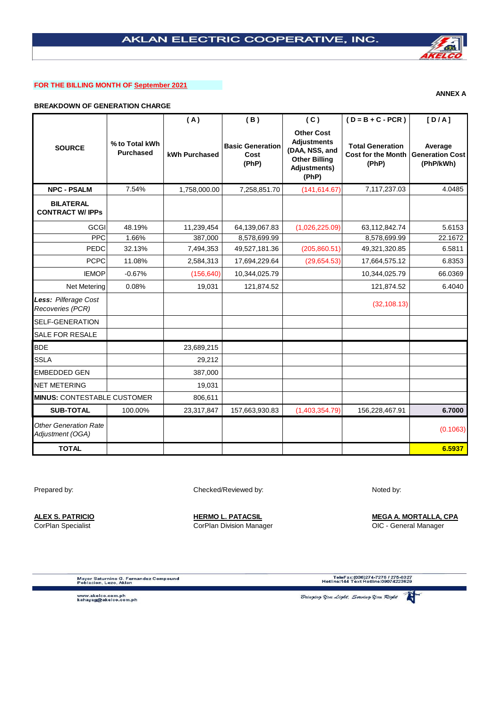# **FOR THE BILLING MONTH OF September 2021**

# **BREAKDOWN OF GENERATION CHARGE**

|                                                  |                                    | (A)           | (B)                                      | (C)                                                                                                        | $(D = B + C - PCR)$                                           | [D/A]                                          |
|--------------------------------------------------|------------------------------------|---------------|------------------------------------------|------------------------------------------------------------------------------------------------------------|---------------------------------------------------------------|------------------------------------------------|
| <b>SOURCE</b>                                    | % to Total kWh<br><b>Purchased</b> | kWh Purchased | <b>Basic Generation</b><br>Cost<br>(PhP) | <b>Other Cost</b><br><b>Adjustments</b><br>(DAA, NSS, and<br><b>Other Billing</b><br>Adjustments)<br>(PhP) | <b>Total Generation</b><br><b>Cost for the Month</b><br>(PhP) | Average<br><b>Generation Cost</b><br>(PhP/kWh) |
| <b>NPC - PSALM</b>                               | 7.54%                              | 1,758,000.00  | 7,258,851.70                             | (141, 614.67)                                                                                              | 7,117,237.03                                                  | 4.0485                                         |
| <b>BILATERAL</b><br><b>CONTRACT W/IPPs</b>       |                                    |               |                                          |                                                                                                            |                                                               |                                                |
| <b>GCGI</b>                                      | 48.19%                             | 11,239,454    | 64,139,067.83                            | (1,026,225.09)                                                                                             | 63,112,842.74                                                 | 5.6153                                         |
| <b>PPC</b>                                       | 1.66%                              | 387,000       | 8,578,699.99                             |                                                                                                            | 8,578,699.99                                                  | 22.1672                                        |
| PEDC                                             | 32.13%                             | 7,494,353     | 49,527,181.36                            | (205, 860.51)                                                                                              | 49,321,320.85                                                 | 6.5811                                         |
| <b>PCPC</b>                                      | 11.08%                             | 2,584,313     | 17,694,229.64                            | (29,654.53)                                                                                                | 17,664,575.12                                                 | 6.8353                                         |
| <b>IEMOP</b>                                     | $-0.67%$                           | (156, 640)    | 10,344,025.79                            |                                                                                                            | 10,344,025.79                                                 | 66.0369                                        |
| <b>Net Metering</b>                              | 0.08%                              | 19,031        | 121,874.52                               |                                                                                                            | 121,874.52                                                    | 6.4040                                         |
| Less: Pilferage Cost<br>Recoveries (PCR)         |                                    |               |                                          |                                                                                                            | (32, 108.13)                                                  |                                                |
| SELF-GENERATION                                  |                                    |               |                                          |                                                                                                            |                                                               |                                                |
| SALE FOR RESALE                                  |                                    |               |                                          |                                                                                                            |                                                               |                                                |
| <b>BDE</b>                                       |                                    | 23,689,215    |                                          |                                                                                                            |                                                               |                                                |
| <b>SSLA</b>                                      |                                    | 29,212        |                                          |                                                                                                            |                                                               |                                                |
| EMBEDDED GEN                                     |                                    | 387,000       |                                          |                                                                                                            |                                                               |                                                |
| NET METERING                                     |                                    | 19,031        |                                          |                                                                                                            |                                                               |                                                |
| <b>MINUS: CONTESTABLE CUSTOMER</b>               |                                    | 806,611       |                                          |                                                                                                            |                                                               |                                                |
| <b>SUB-TOTAL</b>                                 | 100.00%                            | 23,317,847    | 157,663,930.83                           | (1,403,354.79)                                                                                             | 156,228,467.91                                                | 6.7000                                         |
| <b>Other Generation Rate</b><br>Adjustment (OGA) |                                    |               |                                          |                                                                                                            |                                                               | (0.1063)                                       |
| <b>TOTAL</b>                                     |                                    |               |                                          |                                                                                                            |                                                               | 6.5937                                         |

Prepared by: Checked/Reviewed by: Checked/Reviewed by:

**ALEX S. PATRICIO HERMO L. PATACSIL MEGA A. MORTALLA, CPA** CorPlan Specialist **CorPlan Division Manager** CorPlan Division Manager CorPlan CorPlan CorPlan Division Manager

Mayor Saturnino G. Fernandez Compound<br>Poblacion, Lezo, Aklan

TeleFax:(036)274-7275 / 275-8327<br>Hotline:144 Text Hotline:09074223629

www.akelco.com.ph<br>kahayag@akelco.com.ph

.<br>Bringing You Light, Serving You Right



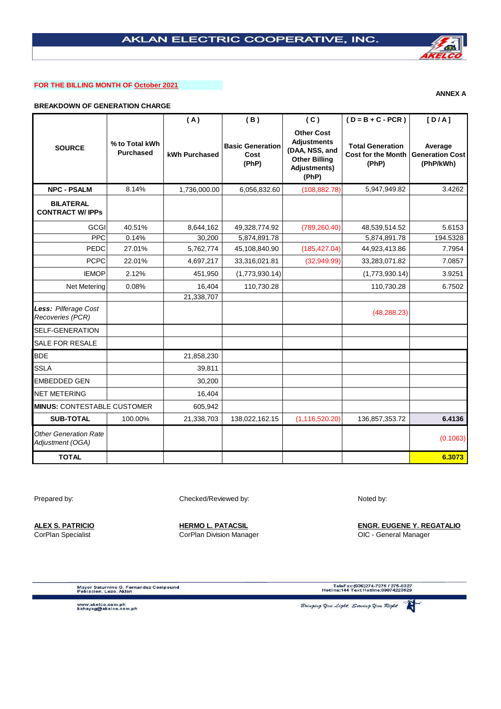## **FOR THE BILLING MONTH OF October 2021**

# **BREAKDOWN OF GENERATION CHARGE**

|                                                  |                                    | (A)           | (B)                                      | (C)                                                                                                        | $(D = B + C - PCR)$                                           | [D/A]                                          |
|--------------------------------------------------|------------------------------------|---------------|------------------------------------------|------------------------------------------------------------------------------------------------------------|---------------------------------------------------------------|------------------------------------------------|
| <b>SOURCE</b>                                    | % to Total kWh<br><b>Purchased</b> | kWh Purchased | <b>Basic Generation</b><br>Cost<br>(PhP) | <b>Other Cost</b><br><b>Adjustments</b><br>(DAA, NSS, and<br><b>Other Billing</b><br>Adjustments)<br>(PhP) | <b>Total Generation</b><br><b>Cost for the Month</b><br>(PhP) | Average<br><b>Generation Cost</b><br>(PhP/kWh) |
| <b>NPC - PSALM</b>                               | 8.14%                              | 1,736,000.00  | 6,056,832.60                             | (108, 882.78)                                                                                              | 5,947,949.82                                                  | 3.4262                                         |
| <b>BILATERAL</b><br><b>CONTRACT W/ IPPS</b>      |                                    |               |                                          |                                                                                                            |                                                               |                                                |
| <b>GCGI</b>                                      | 40.51%                             | 8,644,162     | 49,328,774.92                            | (789, 260.40)                                                                                              | 48,539,514.52                                                 | 5.6153                                         |
| <b>PPC</b>                                       | 0.14%                              | 30,200        | 5,874,891.78                             |                                                                                                            | 5,874,891.78                                                  | 194.5328                                       |
| PEDC                                             | 27.01%                             | 5,762,774     | 45,108,840.90                            | (185, 427.04)                                                                                              | 44,923,413.86                                                 | 7.7954                                         |
| <b>PCPC</b>                                      | 22.01%                             | 4,697,217     | 33,316,021.81                            | (32,949.99)                                                                                                | 33,283,071.82                                                 | 7.0857                                         |
| <b>IEMOP</b>                                     | 2.12%                              | 451,950       | (1,773,930.14)                           |                                                                                                            | (1,773,930.14)                                                | 3.9251                                         |
| Net Metering                                     | 0.08%                              | 16,404        | 110,730.28                               |                                                                                                            | 110,730.28                                                    | 6.7502                                         |
|                                                  |                                    | 21,338,707    |                                          |                                                                                                            |                                                               |                                                |
| Less: Pilferage Cost<br>Recoveries (PCR)         |                                    |               |                                          |                                                                                                            | (48, 288.23)                                                  |                                                |
| <b>SELF-GENERATION</b>                           |                                    |               |                                          |                                                                                                            |                                                               |                                                |
| <b>SALE FOR RESALE</b>                           |                                    |               |                                          |                                                                                                            |                                                               |                                                |
| <b>BDE</b>                                       |                                    | 21,858,230    |                                          |                                                                                                            |                                                               |                                                |
| <b>SSLA</b>                                      |                                    | 39,811        |                                          |                                                                                                            |                                                               |                                                |
| <b>EMBEDDED GEN</b>                              |                                    | 30,200        |                                          |                                                                                                            |                                                               |                                                |
| <b>NET METERING</b>                              |                                    | 16,404        |                                          |                                                                                                            |                                                               |                                                |
| <b>MINUS: CONTESTABLE CUSTOMER</b>               |                                    | 605,942       |                                          |                                                                                                            |                                                               |                                                |
| <b>SUB-TOTAL</b>                                 | 100.00%                            | 21,338,703    | 138,022,162.15                           | (1, 116, 520.20)                                                                                           | 136,857,353.72                                                | 6.4136                                         |
| <b>Other Generation Rate</b><br>Adjustment (OGA) |                                    |               |                                          |                                                                                                            |                                                               | (0.1063)                                       |
| <b>TOTAL</b>                                     |                                    |               |                                          |                                                                                                            |                                                               | 6.3073                                         |

Prepared by: Checked/Reviewed by: Noted by: Noted by:

**ALEX S. PATRICIO HERMO L. PATACSIL ENGR. EUGENE Y. REGATALIO** CorPlan Specialist **CorPlan Division Manager** CorPlan Division Manager CorPlan CorPlan Division Manager CorPlan Division Manager

Mayor Saturnino G. Fernandez Compound<br>Poblacion, Lezo, Aklan

TeleFax:(036)274-7275 / 275-8327<br>Hotline:144 Text Hotline:09074223629

www.akelco.com.ph<br>kahayag@akelco.com.ph

Bringing You Light, Serving You Right

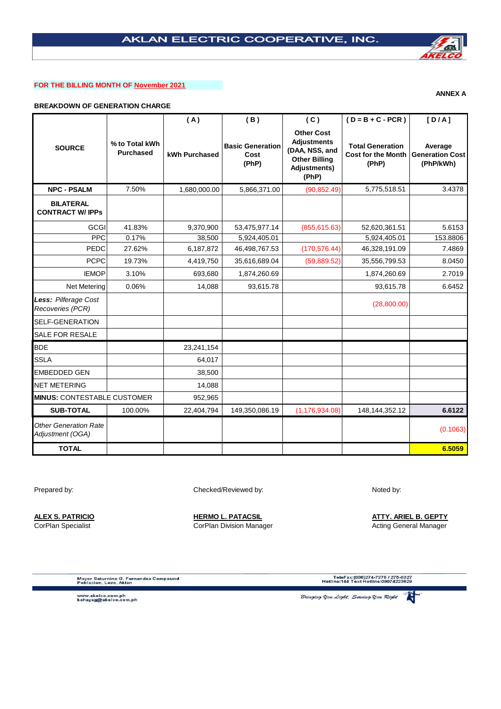# **FOR THE BILLING MONTH OF November 2021**

# **BREAKDOWN OF GENERATION CHARGE**

|                                                  |                                    | (A)           | (B)                                      | (C)                                                                                                               | $(D = B + C - PCR)$                                           | [D/A]                                          |
|--------------------------------------------------|------------------------------------|---------------|------------------------------------------|-------------------------------------------------------------------------------------------------------------------|---------------------------------------------------------------|------------------------------------------------|
| <b>SOURCE</b>                                    | % to Total kWh<br><b>Purchased</b> | kWh Purchased | <b>Basic Generation</b><br>Cost<br>(PhP) | <b>Other Cost</b><br><b>Adjustments</b><br>(DAA, NSS, and<br><b>Other Billing</b><br><b>Adjustments)</b><br>(PhP) | <b>Total Generation</b><br><b>Cost for the Month</b><br>(PhP) | Average<br><b>Generation Cost</b><br>(PhP/kWh) |
| <b>NPC - PSALM</b>                               | 7.50%                              | 1,680,000.00  | 5,866,371.00                             | (90, 852.49)                                                                                                      | 5,775,518.51                                                  | 3.4378                                         |
| <b>BILATERAL</b><br><b>CONTRACT W/ IPPS</b>      |                                    |               |                                          |                                                                                                                   |                                                               |                                                |
| <b>GCGI</b>                                      | 41.83%                             | 9,370,900     | 53,475,977.14                            | (855, 615.63)                                                                                                     | 52,620,361.51                                                 | 5.6153                                         |
| <b>PPC</b>                                       | 0.17%                              | 38,500        | 5,924,405.01                             |                                                                                                                   | 5,924,405.01                                                  | 153.8806                                       |
| PEDC                                             | 27.62%                             | 6,187,872     | 46,498,767.53                            | (170, 576.44)                                                                                                     | 46,328,191.09                                                 | 7.4869                                         |
| <b>PCPC</b>                                      | 19.73%                             | 4,419,750     | 35,616,689.04                            | (59,889.52)                                                                                                       | 35,556,799.53                                                 | 8.0450                                         |
| <b>IEMOP</b>                                     | 3.10%                              | 693,680       | 1,874,260.69                             |                                                                                                                   | 1,874,260.69                                                  | 2.7019                                         |
| <b>Net Metering</b>                              | 0.06%                              | 14,088        | 93,615.78                                |                                                                                                                   | 93,615.78                                                     | 6.6452                                         |
| Less: Pilferage Cost<br>Recoveries (PCR)         |                                    |               |                                          |                                                                                                                   | (28,800.00)                                                   |                                                |
| <b>SELF-GENERATION</b>                           |                                    |               |                                          |                                                                                                                   |                                                               |                                                |
| <b>SALE FOR RESALE</b>                           |                                    |               |                                          |                                                                                                                   |                                                               |                                                |
| <b>BDE</b>                                       |                                    | 23,241,154    |                                          |                                                                                                                   |                                                               |                                                |
| <b>SSLA</b>                                      |                                    | 64,017        |                                          |                                                                                                                   |                                                               |                                                |
| <b>EMBEDDED GEN</b>                              |                                    | 38,500        |                                          |                                                                                                                   |                                                               |                                                |
| <b>NET METERING</b>                              |                                    | 14,088        |                                          |                                                                                                                   |                                                               |                                                |
| <b>MINUS: CONTESTABLE CUSTOMER</b>               |                                    | 952,965       |                                          |                                                                                                                   |                                                               |                                                |
| <b>SUB-TOTAL</b>                                 | 100.00%                            | 22,404,794    | 149,350,086.19                           | (1, 176, 934.08)                                                                                                  | 148,144,352.12                                                | 6.6122                                         |
| <b>Other Generation Rate</b><br>Adjustment (OGA) |                                    |               |                                          |                                                                                                                   |                                                               | (0.1063)                                       |
| <b>TOTAL</b>                                     |                                    |               |                                          |                                                                                                                   |                                                               | 6.5059                                         |

Prepared by: Checked/Reviewed by: Checked/Reviewed by:

**ALEX S. PATRICIO HERMO L. PATACSIL ATTY. ARIEL B. GEPTY**

CorPlan Specialist **Corplan Division Manager** Acting General Manager CorPlan Division Manager Acting General Manager

Mayor Saturnino G. Fernandez Compound<br>Poblacion, Lezo, Aklan

TeleFax:(036)274-7275 / 275-8327<br>Hotline:144 Text Hotline:09074223629

www.akelco.com.ph<br>kahayag@akelco.com.ph

.<br>Bringing You Light, Serving You Right



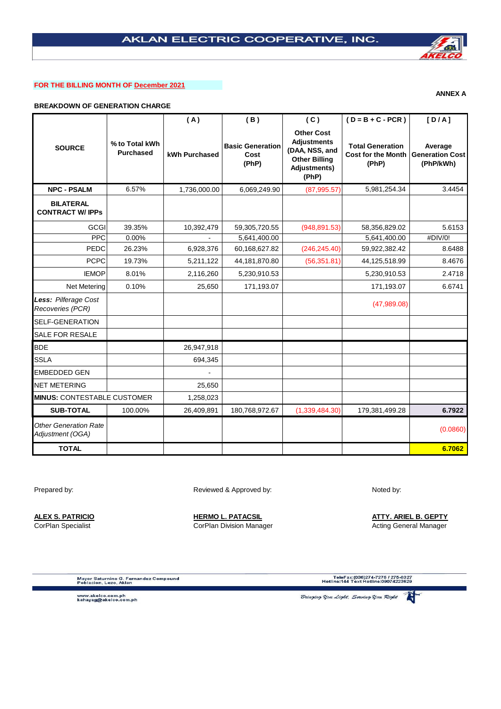# **FOR THE BILLING MONTH OF December 2021**

# **BREAKDOWN OF GENERATION CHARGE**

|                                                  |                                    | (A)           | (B)                                      | (C)                                                                                                        | $(D = B + C - PCR)$                                           | [D/A]                                          |
|--------------------------------------------------|------------------------------------|---------------|------------------------------------------|------------------------------------------------------------------------------------------------------------|---------------------------------------------------------------|------------------------------------------------|
| <b>SOURCE</b>                                    | % to Total kWh<br><b>Purchased</b> | kWh Purchased | <b>Basic Generation</b><br>Cost<br>(PhP) | <b>Other Cost</b><br><b>Adjustments</b><br>(DAA, NSS, and<br><b>Other Billing</b><br>Adjustments)<br>(PhP) | <b>Total Generation</b><br><b>Cost for the Month</b><br>(PhP) | Average<br><b>Generation Cost</b><br>(PhP/kWh) |
| <b>NPC - PSALM</b>                               | 6.57%                              | 1,736,000.00  | 6,069,249.90                             | (87, 995.57)                                                                                               | 5,981,254.34                                                  | 3.4454                                         |
| <b>BILATERAL</b><br><b>CONTRACT W/ IPPs</b>      |                                    |               |                                          |                                                                                                            |                                                               |                                                |
| <b>GCGI</b>                                      | 39.35%                             | 10,392,479    | 59,305,720.55                            | (948, 891.53)                                                                                              | 58,356,829.02                                                 | 5.6153                                         |
| <b>PPC</b>                                       | 0.00%                              |               | 5,641,400.00                             |                                                                                                            | 5,641,400.00                                                  | #DIV/0!                                        |
| PEDC                                             | 26.23%                             | 6,928,376     | 60,168,627.82                            | (246, 245.40)                                                                                              | 59,922,382.42                                                 | 8.6488                                         |
| <b>PCPC</b>                                      | 19.73%                             | 5,211,122     | 44,181,870.80                            | (56, 351.81)                                                                                               | 44,125,518.99                                                 | 8.4676                                         |
| <b>IEMOP</b>                                     | 8.01%                              | 2,116,260     | 5,230,910.53                             |                                                                                                            | 5,230,910.53                                                  | 2.4718                                         |
| Net Metering                                     | 0.10%                              | 25,650        | 171,193.07                               |                                                                                                            | 171,193.07                                                    | 6.6741                                         |
| Less: Pilferage Cost<br>Recoveries (PCR)         |                                    |               |                                          |                                                                                                            | (47,989.08)                                                   |                                                |
| SELF-GENERATION                                  |                                    |               |                                          |                                                                                                            |                                                               |                                                |
| SALE FOR RESALE                                  |                                    |               |                                          |                                                                                                            |                                                               |                                                |
| <b>BDE</b>                                       |                                    | 26,947,918    |                                          |                                                                                                            |                                                               |                                                |
| <b>SSLA</b>                                      |                                    | 694,345       |                                          |                                                                                                            |                                                               |                                                |
| <b>EMBEDDED GEN</b>                              |                                    |               |                                          |                                                                                                            |                                                               |                                                |
| <b>NET METERING</b>                              |                                    | 25,650        |                                          |                                                                                                            |                                                               |                                                |
| <b>MINUS: CONTESTABLE CUSTOMER</b>               |                                    | 1,258,023     |                                          |                                                                                                            |                                                               |                                                |
| <b>SUB-TOTAL</b>                                 | 100.00%                            | 26,409,891    | 180,768,972.67                           | (1,339,484.30)                                                                                             | 179,381,499.28                                                | 6.7922                                         |
| <b>Other Generation Rate</b><br>Adjustment (OGA) |                                    |               |                                          |                                                                                                            |                                                               | (0.0860)                                       |
| <b>TOTAL</b>                                     |                                    |               |                                          |                                                                                                            |                                                               | 6.7062                                         |

Prepared by: Noted by: Reviewed & Approved by: Noted by:

**ALEX S. PATRICIO HERMO L. PATACSIL ATTY. ARIEL B. GEPTY**

CorPlan Specialist **Corplan Division Manager** Acting General Manager CorPlan Division Manager Acting General Manager

Mayor Saturnino G. Fernandez Compound<br>Poblacion, Lezo, Aklan

TeleFax:(036)274-7275 / 275-8327<br>Hotline:144 Text Hotline:09074223629

www.akelco.com.ph<br>kahayag@akelco.com.ph

.<br>Bringing Upu Light, Serving Upu Right



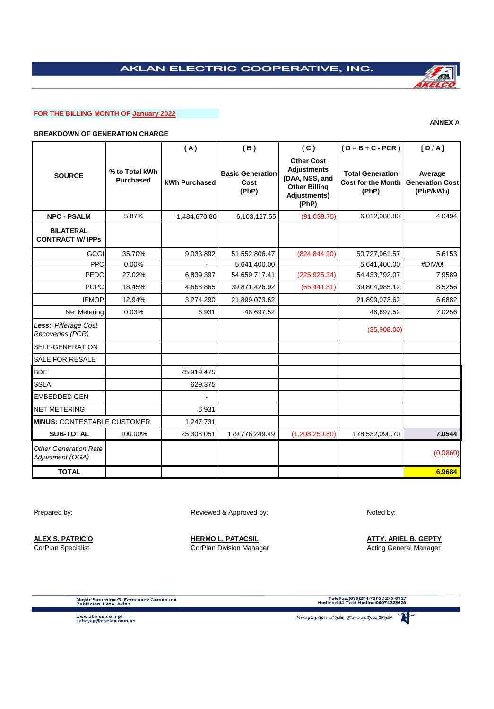# **FOR THE BILLING MONTH OF January 2022**

## **BREAKDOWN OF GENERATION CHARGE**

|                                                  |                                    | (A)           | (B)                                      | (C)                                                                                                               | $(D = B + C - PCR)$                                           | [D/A]                                          |
|--------------------------------------------------|------------------------------------|---------------|------------------------------------------|-------------------------------------------------------------------------------------------------------------------|---------------------------------------------------------------|------------------------------------------------|
| <b>SOURCE</b>                                    | % to Total kWh<br><b>Purchased</b> | kWh Purchased | <b>Basic Generation</b><br>Cost<br>(PhP) | <b>Other Cost</b><br><b>Adjustments</b><br>(DAA, NSS, and<br><b>Other Billing</b><br><b>Adjustments)</b><br>(PhP) | <b>Total Generation</b><br><b>Cost for the Month</b><br>(PhP) | Average<br><b>Generation Cost</b><br>(PhP/kWh) |
| <b>NPC - PSALM</b>                               | 5.87%                              | 1,484,670.80  | 6,103,127.55                             | (91,038.75)                                                                                                       | 6,012,088.80                                                  | 4.0494                                         |
| <b>BILATERAL</b><br><b>CONTRACT W/ IPPs</b>      |                                    |               |                                          |                                                                                                                   |                                                               |                                                |
| GCGI                                             | 35.70%                             | 9,033,892     | 51,552,806.47                            | (824, 844.90)                                                                                                     | 50,727,961.57                                                 | 5.6153                                         |
| PPC                                              | 0.00%                              |               | 5,641,400.00                             |                                                                                                                   | 5,641,400.00                                                  | #DIV/0!                                        |
| <b>PEDC</b>                                      | 27.02%                             | 6,839,397     | 54,659,717.41                            | (225, 925.34)                                                                                                     | 54,433,792.07                                                 | 7.9589                                         |
| <b>PCPC</b>                                      | 18.45%                             | 4,668,865     | 39,871,426.92                            | (66, 441.81)                                                                                                      | 39,804,985.12                                                 | 8.5256                                         |
| <b>IEMOP</b>                                     | 12.94%                             | 3,274,290     | 21,899,073.62                            |                                                                                                                   | 21,899,073.62                                                 | 6.6882                                         |
| Net Metering                                     | 0.03%                              | 6,931         | 48,697.52                                |                                                                                                                   | 48,697.52                                                     | 7.0256                                         |
| Less: Pilferage Cost<br>Recoveries (PCR)         |                                    |               |                                          |                                                                                                                   | (35,908.00)                                                   |                                                |
| <b>SELF-GENERATION</b>                           |                                    |               |                                          |                                                                                                                   |                                                               |                                                |
| <b>SALE FOR RESALE</b>                           |                                    |               |                                          |                                                                                                                   |                                                               |                                                |
| <b>BDE</b>                                       |                                    | 25,919,475    |                                          |                                                                                                                   |                                                               |                                                |
| <b>SSLA</b>                                      |                                    | 629,375       |                                          |                                                                                                                   |                                                               |                                                |
| <b>EMBEDDED GEN</b>                              |                                    |               |                                          |                                                                                                                   |                                                               |                                                |
| <b>NET METERING</b>                              |                                    | 6,931         |                                          |                                                                                                                   |                                                               |                                                |
| <b>MINUS: CONTESTABLE CUSTOMER</b>               |                                    | 1,247,731     |                                          |                                                                                                                   |                                                               |                                                |
| <b>SUB-TOTAL</b>                                 | 100.00%                            | 25,308,051    | 179,776,249.49                           | (1,208,250.80)                                                                                                    | 178,532,090.70                                                | 7.0544                                         |
| <b>Other Generation Rate</b><br>Adjustment (OGA) |                                    |               |                                          |                                                                                                                   |                                                               | (0.0860)                                       |
| <b>TOTAL</b>                                     |                                    |               |                                          |                                                                                                                   |                                                               | 6.9684                                         |

Prepared by: Noted by: Reviewed & Approved by: Noted by:

CorPlan Specialist **Corplan Division Manager** Corplan Division Manager Acting General Manager

**ALEX S. PATRICIO HERMO L. PATACSIL ATTY. ARIEL B. GEPTY**

Mayor Saturnino G. Fernandez Compound<br>Poblacion, Lezo, Aklan

www.akelco.com.ph<br>kahayag@akelco.com.ph



**ANNEX A**

Bringing You Light, Serving You Right

TeleFax:(036)274-7275 / 275-8327<br>Hotline:144 Text Hotline:09074223629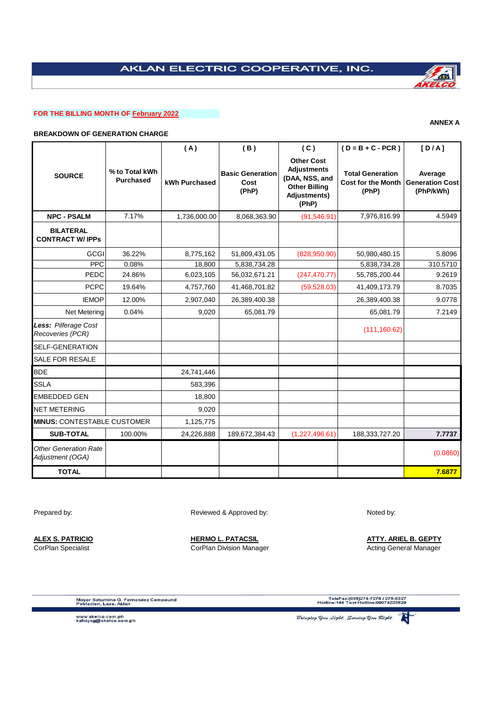# **FOR THE BILLING MONTH OF February 2022**

## **BREAKDOWN OF GENERATION CHARGE**

|                                                  |                                    | (A)           | (B)                                      | (C)                                                                                                        | $(D = B + C - PCR)$                                           | [D/A]                                          |
|--------------------------------------------------|------------------------------------|---------------|------------------------------------------|------------------------------------------------------------------------------------------------------------|---------------------------------------------------------------|------------------------------------------------|
| <b>SOURCE</b>                                    | % to Total kWh<br><b>Purchased</b> | kWh Purchased | <b>Basic Generation</b><br>Cost<br>(PhP) | <b>Other Cost</b><br><b>Adjustments</b><br>(DAA, NSS, and<br><b>Other Billing</b><br>Adjustments)<br>(PhP) | <b>Total Generation</b><br><b>Cost for the Month</b><br>(PhP) | Average<br><b>Generation Cost</b><br>(PhP/kWh) |
| <b>NPC - PSALM</b>                               | 7.17%                              | 1,736,000.00  | 8,068,363.90                             | (91, 546.91)                                                                                               | 7,976,816.99                                                  | 4.5949                                         |
| <b>BILATERAL</b><br><b>CONTRACT W/ IPPS</b>      |                                    |               |                                          |                                                                                                            |                                                               |                                                |
| <b>GCGI</b>                                      | 36.22%                             | 8,775,162     | 51,809,431.05                            | (828,950.90)                                                                                               | 50,980,480.15                                                 | 5.8096                                         |
| <b>PPC</b>                                       | 0.08%                              | 18,800        | 5,838,734.28                             |                                                                                                            | 5,838,734.28                                                  | 310.5710                                       |
| PEDC                                             | 24.86%                             | 6,023,105     | 56,032,671.21                            | (247, 470.77)                                                                                              | 55,785,200.44                                                 | 9.2619                                         |
| <b>PCPC</b>                                      | 19.64%                             | 4,757,760     | 41,468,701.82                            | (59, 528.03)                                                                                               | 41,409,173.79                                                 | 8.7035                                         |
| <b>IEMOP</b>                                     | 12.00%                             | 2,907,040     | 26,389,400.38                            |                                                                                                            | 26,389,400.38                                                 | 9.0778                                         |
| Net Metering                                     | 0.04%                              | 9,020         | 65,081.79                                |                                                                                                            | 65,081.79                                                     | 7.2149                                         |
| Less: Pilferage Cost<br>Recoveries (PCR)         |                                    |               |                                          |                                                                                                            | (111, 160.62)                                                 |                                                |
| <b>SELF-GENERATION</b>                           |                                    |               |                                          |                                                                                                            |                                                               |                                                |
| SALE FOR RESALE                                  |                                    |               |                                          |                                                                                                            |                                                               |                                                |
| <b>BDE</b>                                       |                                    | 24,741,446    |                                          |                                                                                                            |                                                               |                                                |
| <b>SSLA</b>                                      |                                    | 583,396       |                                          |                                                                                                            |                                                               |                                                |
| <b>EMBEDDED GEN</b>                              |                                    | 18,800        |                                          |                                                                                                            |                                                               |                                                |
| <b>NET METERING</b>                              |                                    | 9,020         |                                          |                                                                                                            |                                                               |                                                |
| <b>MINUS: CONTESTABLE CUSTOMER</b>               |                                    | 1,125,775     |                                          |                                                                                                            |                                                               |                                                |
| <b>SUB-TOTAL</b>                                 | 100.00%                            | 24,226,888    | 189,672,384.43                           | (1,227,496.61)                                                                                             | 188,333,727.20                                                | 7.7737                                         |
| <b>Other Generation Rate</b><br>Adjustment (OGA) |                                    |               |                                          |                                                                                                            |                                                               | (0.0860)                                       |
| <b>TOTAL</b>                                     |                                    |               |                                          |                                                                                                            |                                                               | 7.6877                                         |

Prepared by: Noted by: Reviewed & Approved by: Noted by:

**ALEX S. PATRICIO HERMO L. PATACSIL ATTY. ARIEL B. GEPTY** CorPlan Specialist **Corplan Division Manager** Corplan Division Manager Acting General Manager

Mayor Saturnino G. Fernandez Compound<br>Poblacion, Lezo, Aklan

www.akelco.com.ph<br>kahayag@akelco.com.ph



TeleFax:(036)274-7275 / 275-8327<br>Hotline:144 Text Hotline:09074223629



**ANNEX A**

Bringing You Light, Serving You Right